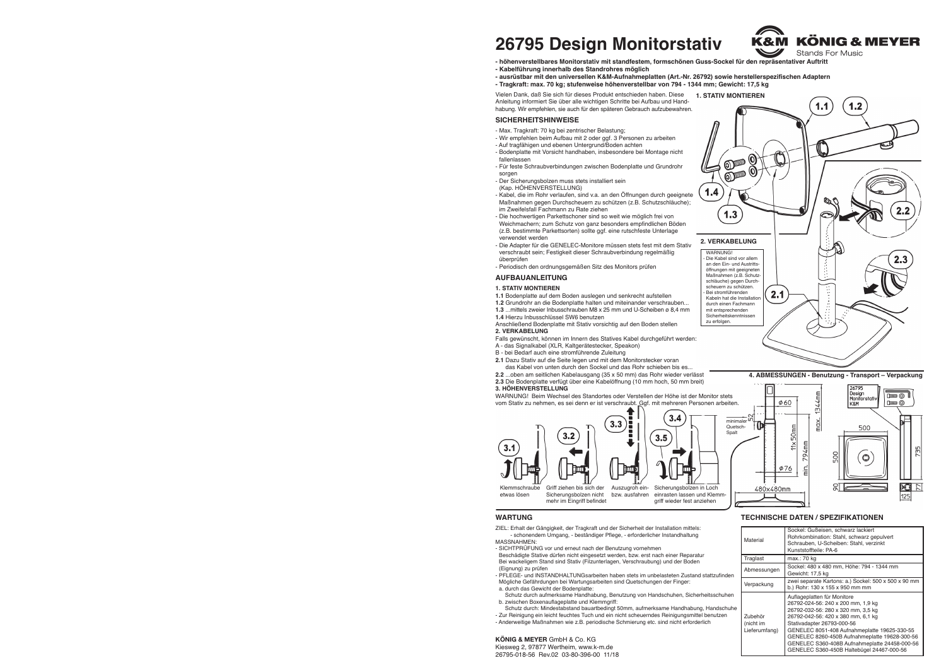# **SICHERHEITSHINWEISE**

# **AUFBAUANLEITUNG**

**KÖNIG & MEYER** GmbH & Co. KG Kiesweg 2, 97877 Wertheim, www.k-m.de 26795-018-56 Rev.02 03-80-396-00 11/18

|                                     | Material                              | Sockel: Gußeisen, schwarz lackiert<br>Rohrkombination: Stahl, schwarz gepulvert<br>Schrauben, U-Scheiben: Stahl, verzinkt<br>Kunststoffteile: PA-6                                                                                                                                                                                                                         |
|-------------------------------------|---------------------------------------|----------------------------------------------------------------------------------------------------------------------------------------------------------------------------------------------------------------------------------------------------------------------------------------------------------------------------------------------------------------------------|
|                                     | Traglast                              | max.: 70 kg                                                                                                                                                                                                                                                                                                                                                                |
| ıfinden<br>huhen:<br>Ischuhe<br>zen | Abmessungen                           | Sockel: 480 x 480 mm, Höhe: 794 - 1344 mm<br>Gewicht: 17,5 kg                                                                                                                                                                                                                                                                                                              |
|                                     | Verpackung                            | zwei separate Kartons: a.) Sockel: 500 x 500 x 90 mm<br>b.) Rohr: 130 x 155 x 950 mm mm                                                                                                                                                                                                                                                                                    |
|                                     | Zubehör<br>(nicht im<br>Lieferumfang) | Auflageplatten für Monitore<br>26792-024-56: 240 x 200 mm, 1,9 kg<br>26792-032-56: 280 x 320 mm, 3,5 kg<br>26792-042-56: 420 x 380 mm, 6,1 kg<br>Stativadapter 26793-000-56<br>GENELEC 8051-408 Aufnahmeplatte 19625-330-55<br>GENELEC 8260-450B Aufnahmeplatte 19628-300-56<br>GENELEC S360-408B Aufnahmeplatte 24458-000-56<br>GENELEC S360-450B Haltebügel 24467-000-56 |

# **TECHNISCHE DATEN / SPEZIFIKATIONEN**

# **1. STATIV MONTIEREN**

- **1.1** Bodenplatte auf dem Boden auslegen und senkrecht aufstellen
- **1.2** Grundrohr an die Bodenplatte halten und miteinander verschrauben...
- **1.3** ...mittels zweier Inbusschrauben M8 x 25 mm und U-Scheiben ø 8,4 mm
- **1.4** Hierzu Inbusschlüssel SW6 benutzen
- Anschließend Bodenplatte mit Stativ vorsichtig auf den Boden stellen **2. VERKABELUNG**
- Falls gewünscht, können im Innern des Statives Kabel durchgeführt werden:
- A das Signalkabel (XLR, Kaltgerätestecker, Speakon)
- B bei Bedarf auch eine stromführende Zuleitung
- **2.1** Dazu Stativ auf die Seite legen und mit dem Monitorstecker voran **2.1** das Kabel von unten durch den Sockel und das Rohr schieben bis es...
- **2.2** ...oben am seitlichen Kabelausgang (35 x 50 mm) das Rohr wieder verlässt **2.3** Die Bodenplatte verfügt über eine Kabelöffnung (10 mm hoch, 50 mm breit) **3. HÖHENVERSTELLUNG**

WARNUNG! Beim Wechsel des Standortes oder Verstellen der Höhe ist der Monitor stets vom Stativ zu nehmen, es sei denn er ist verschraubt. Ggf. mit mehreren Personen arbeiten.

### **WARTUNG**

- ZIEL: Erhalt der Gängigkeit, der Tragkraft und der Sicherheit der Installation mittels: - schonendem Umgang, - beständiger Pflege, - erforderlicher Instandhaltung MASSNAHMEN:
- SICHTPRÜFUNG vor und erneut nach der Benutzung vornehmen
- Beschädigte Stative dürfen nicht eingesetzt werden, bzw. erst nach einer Reparatur Bei wackeligem Stand sind Stativ (Filzunterlagen, Verschraubung) und der Boden - (Eignung) zu prüfen
- PFLEGE- und INSTANDHALTUNGsarbeiten haben stets im unbelasteten Zustand stattzufinden - Mögliche Gefährdungen bei Wartungsarbeiten sind Quetschungen der Finger: a. durch das Gewicht der Bodenplatte:
- Schutz durch aufmerksame Handhabung, Benutzung von Handschuhen, Sicherheitssc
- b. zwischen Boxenauflageplatte und Klemmgriff: Schutz durch: Mindestabstand bauartbedingt 50mm, aufmerksame Handhabung, Hand
- Zur Reinigung ein leicht feuchtes Tuch und ein nicht scheuerndes Reinigungsmittel benut - Anderweitige Maßnahmen wie z.B. periodische Schmierung etc. sind nicht erforderlich
- Max. Tragkraft: 70 kg bei zentrischer Belastung;
- Wir empfehlen beim Aufbau mit 2 oder ggf. 3 Personen zu arbeiten
- Auf tragfähigen und ebenen Untergrund/Boden achten - Bodenplatte mit Vorsicht handhaben, insbesondere bei Montage nicht fallenlassen
- Für feste Schraubverbindungen zwischen Bodenplatte und Grundrohr sorgen
- Der Sicherungsbolzen muss stets installiert sein
- (Kap. HÖHENVERSTELLUNG)
- Kabel, die im Rohr verlaufen, sind v.a. an den Öffnungen durch geeignete Maßnahmen gegen Durchscheuern zu schützen (z.B. Schutzschläuche); im Zweifelsfall Fachmann zu Rate ziehen
- Die hochwertigen Parkettschoner sind so weit wie möglich frei von
- Weichmachern; zum Schutz von ganz besonders empfindlichen Böden - (z.B. bestimmte Parkettsorten) sollte ggf. eine rutschfeste Unterlage - verwendet werden
- Die Adapter für die GENELEC-Monitore müssen stets fest mit dem Stativ - verschraubt sein; Festigkeit dieser Schraubverbindung regelmäßig - überprüfen
- Periodisch den ordnungsgemäßen Sitz des Monitors prüfen

Vielen Dank, daß Sie sich für dieses Produkt entschieden haben. Diese **1. STATIV MONTIEREN** Anleitung informiert Sie über alle wichtigen Schritte bei Aufbau und Handhabung. Wir empfehlen, sie auch für den späteren Gebrauch aufzubewahren.

# **26795 Design Monitorstativ**

- **höhenverstellbares Monitorstativ mit standfestem, formschönen Guss-Sockel für den repräsentativer Auftritt**
- **Kabelführung innerhalb des Standrohres möglich**
- **ausrüstbar mit den universellen K&M-Aufnahmeplatten (Art.-Nr. 26792) sowie herstellerspezifischen Adaptern - Tragkraft: max. 70 kg; stufenweise höhenverstellbar von 794 - 1344 mm; Gewicht: 17,5 kg**











# $\circ$ Ø76  $\frac{1}{2}$ श्ल 480×480mm